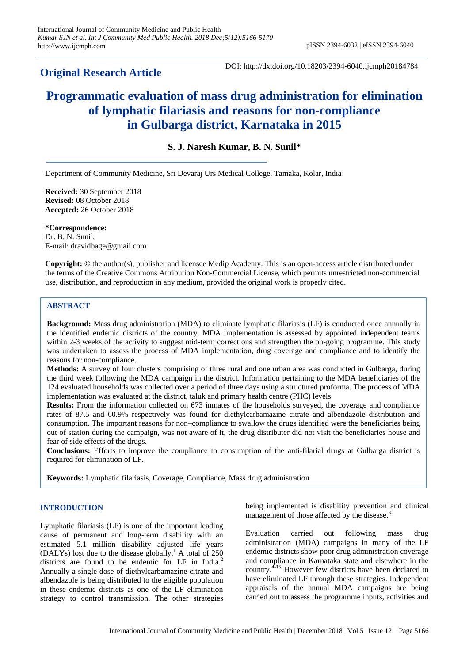# **Original Research Article**

DOI: http://dx.doi.org/10.18203/2394-6040.ijcmph20184784

# **Programmatic evaluation of mass drug administration for elimination of lymphatic filariasis and reasons for non-compliance in Gulbarga district, Karnataka in 2015**

## **S. J. Naresh Kumar, B. N. Sunil\***

Department of Community Medicine, Sri Devaraj Urs Medical College, Tamaka, Kolar, India

**Received:** 30 September 2018 **Revised:** 08 October 2018 **Accepted:** 26 October 2018

**\*Correspondence:** Dr. B. N. Sunil, E-mail: dravidbage@gmail.com

**Copyright:** © the author(s), publisher and licensee Medip Academy. This is an open-access article distributed under the terms of the Creative Commons Attribution Non-Commercial License, which permits unrestricted non-commercial use, distribution, and reproduction in any medium, provided the original work is properly cited.

#### **ABSTRACT**

**Background:** Mass drug administration (MDA) to eliminate lymphatic filariasis (LF) is conducted once annually in the identified endemic districts of the country. MDA implementation is assessed by appointed independent teams within 2-3 weeks of the activity to suggest mid-term corrections and strengthen the on-going programme. This study was undertaken to assess the process of MDA implementation, drug coverage and compliance and to identify the reasons for non-compliance.

**Methods:** A survey of four clusters comprising of three rural and one urban area was conducted in Gulbarga, during the third week following the MDA campaign in the district. Information pertaining to the MDA beneficiaries of the 124 evaluated households was collected over a period of three days using a structured proforma. The process of MDA implementation was evaluated at the district, taluk and primary health centre (PHC) levels.

**Results:** From the information collected on 673 inmates of the households surveyed, the coverage and compliance rates of 87.5 and 60.9% respectively was found for diethylcarbamazine citrate and albendazole distribution and consumption. The important reasons for non–compliance to swallow the drugs identified were the beneficiaries being out of station during the campaign, was not aware of it, the drug distributer did not visit the beneficiaries house and fear of side effects of the drugs.

**Conclusions:** Efforts to improve the compliance to consumption of the anti-filarial drugs at Gulbarga district is required for elimination of LF.

**Keywords:** Lymphatic filariasis, Coverage, Compliance, Mass drug administration

### **INTRODUCTION**

Lymphatic filariasis (LF) is one of the important leading cause of permanent and long-term disability with an estimated 5.1 million disability adjusted life years (DALYs) lost due to the disease globally.<sup>1</sup> A total of  $250$ districts are found to be endemic for LF in India.<sup>2</sup> Annually a single dose of diethylcarbamazine citrate and albendazole is being distributed to the eligible population in these endemic districts as one of the LF elimination strategy to control transmission. The other strategies being implemented is disability prevention and clinical management of those affected by the disease.<sup>3</sup>

Evaluation carried out following mass drug administration (MDA) campaigns in many of the LF endemic districts show poor drug administration coverage and compliance in Karnataka state and elsewhere in the country.4-15 However few districts have been declared to have eliminated LF through these strategies. Independent appraisals of the annual MDA campaigns are being carried out to assess the programme inputs, activities and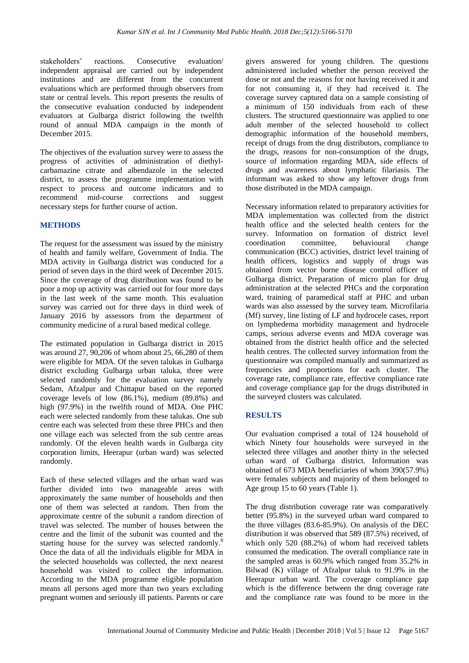stakeholders' reactions. Consecutive evaluation/ independent appraisal are carried out by independent institutions and are different from the concurrent evaluations which are performed through observers from state or central levels. This report presents the results of the consecutive evaluation conducted by independent evaluators at Gulbarga district following the twelfth round of annual MDA campaign in the month of December 2015.

The objectives of the evaluation survey were to assess the progress of activities of administration of diethylcarbamazine citrate and albendazole in the selected district, to assess the programme implementation with respect to process and outcome indicators and to recommend mid-course corrections and suggest necessary steps for further course of action.

#### **METHODS**

The request for the assessment was issued by the ministry of health and family welfare, Government of India. The MDA activity in Gulbarga district was conducted for a period of seven days in the third week of December 2015. Since the coverage of drug distribution was found to be poor a mop up activity was carried out for four more days in the last week of the same month. This evaluation survey was carried out for three days in third week of January 2016 by assessors from the department of community medicine of a rural based medical college.

The estimated population in Gulbarga district in 2015 was around 27, 90,206 of whom about 25, 66,280 of them were eligible for MDA. Of the seven talukas in Gulbarga district excluding Gulbarga urban taluka, three were selected randomly for the evaluation survey namely Sedam, Afzalpur and Chittapur based on the reported coverage levels of low (86.1%), medium (89.8%) and high (97.9%) in the twelfth round of MDA. One PHC each were selected randomly from these talukas. One sub centre each was selected from these three PHCs and then one village each was selected from the sub centre areas randomly. Of the eleven health wards in Gulbarga city corporation limits, Heerapur (urban ward) was selected randomly.

Each of these selected villages and the urban ward was further divided into two manageable areas with approximately the same number of households and then one of them was selected at random. Then from the approximate centre of the subunit a random direction of travel was selected. The number of houses between the centre and the limit of the subunit was counted and the starting house for the survey was selected randomly.<sup>8</sup> Once the data of all the individuals eligible for MDA in the selected households was collected, the next nearest household was visited to collect the information. According to the MDA programme eligible population means all persons aged more than two years excluding pregnant women and seriously ill patients. Parents or care givers answered for young children. The questions administered included whether the person received the dose or not and the reasons for not having received it and for not consuming it, if they had received it. The coverage survey captured data on a sample consisting of a minimum of 150 individuals from each of these clusters. The structured questionnaire was applied to one adult member of the selected household to collect demographic information of the household members, receipt of drugs from the drug distributors, compliance to the drugs, reasons for non-consumption of the drugs, source of information regarding MDA, side effects of drugs and awareness about lymphatic filariasis. The informant was asked to show any leftover drugs from those distributed in the MDA campaign.

Necessary information related to preparatory activities for MDA implementation was collected from the district health office and the selected health centers for the survey. Information on formation of district level coordination committee, behavioural change communication (BCC) activities, district level training of health officers, logistics and supply of drugs was obtained from vector borne disease control officer of Gulbarga district. Preparation of micro plan for drug administration at the selected PHCs and the corporation ward, training of paramedical staff at PHC and urban wards was also assessed by the survey team. Microfilaria (Mf) survey, line listing of LF and hydrocele cases, report on lymphedema morbidity management and hydrocele camps, serious adverse events and MDA coverage was obtained from the district health office and the selected health centres. The collected survey information from the questionnaire was compiled manually and summarized as frequencies and proportions for each cluster. The coverage rate, compliance rate, effective compliance rate and coverage compliance gap for the drugs distributed in the surveyed clusters was calculated.

#### **RESULTS**

Our evaluation comprised a total of 124 household of which Ninety four households were surveyed in the selected three villages and another thirty in the selected urban ward of Gulbarga district. Information was obtained of 673 MDA beneficiaries of whom 390(57.9%) were females subjects and majority of them belonged to Age group 15 to 60 years (Table 1).

The drug distribution coverage rate was comparatively better (95.8%) in the surveyed urban ward compared to the three villages (83.6-85.9%). On analysis of the DEC distribution it was observed that 589 (87.5%) received, of which only 520 (88.2%) of whom had received tablets consumed the medication. The overall compliance rate in the sampled areas is 60.9% which ranged from 35.2% in Bilwad (K) village of Afzalpur taluk to 91.9% in the Heerapur urban ward. The coverage compliance gap which is the difference between the drug coverage rate and the compliance rate was found to be more in the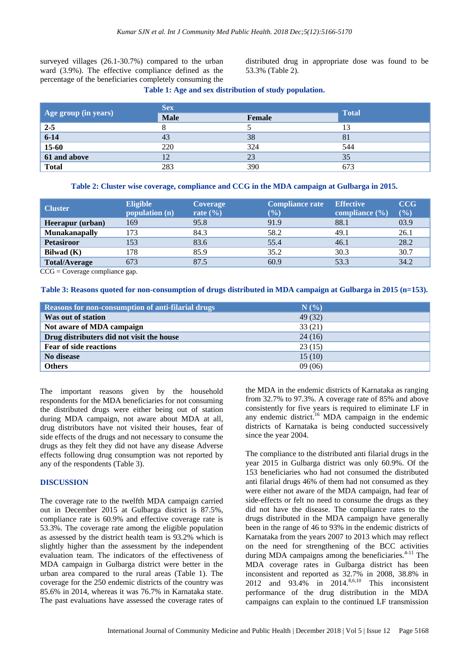surveyed villages (26.1-30.7%) compared to the urban ward (3.9%). The effective compliance defined as the percentage of the beneficiaries completely consuming the distributed drug in appropriate dose was found to be 53.3% (Table 2).

#### **Table 1: Age and sex distribution of study population.**

| Age group (in years) | <b>Sex</b>  |        |              |
|----------------------|-------------|--------|--------------|
|                      | <b>Male</b> | Female | <b>Total</b> |
| $2 - 5$              |             |        |              |
| $6 - 14$             | 43          | 38     | 81           |
| $15-60$              | 220         | 324    | 544          |
| 61 and above         | 12          | 23     | 35           |
| <b>Total</b>         | 283         | 390    | 673          |

**Table 2: Cluster wise coverage, compliance and CCG in the MDA campaign at Gulbarga in 2015.**

| <b>Cluster</b>       | <b>Eligible</b><br>population (n) | <b>Coverage</b><br>rate $(\% )$ | <b>Compliance rate</b><br>(%) | <b>Effective</b><br>compliance $(\% )$ | CCG<br>(%) |
|----------------------|-----------------------------------|---------------------------------|-------------------------------|----------------------------------------|------------|
| Heerapur (urban)     | 169                               | 95.8                            | 91.9                          | 88.1                                   | 03.9       |
| <b>Munakanapally</b> | 173                               | 84.3                            | 58.2                          | 49.1                                   | 26.1       |
| <b>Petasiroor</b>    | 153                               | 83.6                            | 55.4                          | 46.1                                   | 28.2       |
| Bilwad (K)           | 178                               | 85.9                            | 35.2                          | 30.3                                   | 30.7       |
| <b>Total/Average</b> | 673                               | 87.5                            | 60.9                          | 53.3                                   | 34.2       |

CCG = Coverage compliance gap.

**Table 3: Reasons quoted for non-consumption of drugs distributed in MDA campaign at Gulbarga in 2015 (n=153).**

| Reasons for non-consumption of anti-filarial drugs | N(%     |
|----------------------------------------------------|---------|
| Was out of station                                 | 49 (32) |
| Not aware of MDA campaign                          | 33(21)  |
| Drug distributers did not visit the house          | 24(16)  |
| <b>Fear of side reactions</b>                      | 23(15)  |
| No disease                                         | 15(10)  |
| <b>Others</b>                                      | 09(06)  |

The important reasons given by the household respondents for the MDA beneficiaries for not consuming the distributed drugs were either being out of station during MDA campaign, not aware about MDA at all, drug distributors have not visited their houses, fear of side effects of the drugs and not necessary to consume the drugs as they felt they did not have any disease Adverse effects following drug consumption was not reported by any of the respondents (Table 3).

#### **DISCUSSION**

The coverage rate to the twelfth MDA campaign carried out in December 2015 at Gulbarga district is 87.5%, compliance rate is 60.9% and effective coverage rate is 53.3%. The coverage rate among the eligible population as assessed by the district health team is 93.2% which is slightly higher than the assessment by the independent evaluation team. The indicators of the effectiveness of MDA campaign in Gulbarga district were better in the urban area compared to the rural areas (Table 1). The coverage for the 250 endemic districts of the country was 85.6% in 2014, whereas it was 76.7% in Karnataka state. The past evaluations have assessed the coverage rates of the MDA in the endemic districts of Karnataka as ranging from 32.7% to 97.3%. A coverage rate of 85% and above consistently for five years is required to eliminate LF in any endemic district.<sup>16</sup> MDA campaign in the endemic districts of Karnataka is being conducted successively since the year 2004.

The compliance to the distributed anti filarial drugs in the year 2015 in Gulbarga district was only 60.9%. Of the 153 beneficiaries who had not consumed the distributed anti filarial drugs 46% of them had not consumed as they were either not aware of the MDA campaign, had fear of side-effects or felt no need to consume the drugs as they did not have the disease. The compliance rates to the drugs distributed in the MDA campaign have generally been in the range of 46 to 93% in the endemic districts of Karnataka from the years 2007 to 2013 which may reflect on the need for strengthening of the BCC activities during MDA campaigns among the beneficiaries. $4-11$  The MDA coverage rates in Gulbarga district has been inconsistent and reported as 32.7% in 2008, 38.8% in 2012 and 93.4% in 2014.<sup>8,6,10</sup> This inconsistent performance of the drug distribution in the MDA campaigns can explain to the continued LF transmission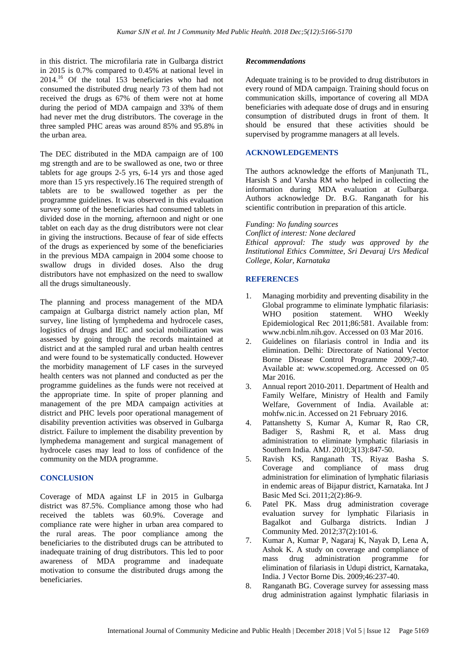in this district. The microfilaria rate in Gulbarga district in 2015 is 0.7% compared to 0.45% at national level in 2014.<sup>16</sup> Of the total 153 beneficiaries who had not consumed the distributed drug nearly 73 of them had not received the drugs as 67% of them were not at home during the period of MDA campaign and 33% of them had never met the drug distributors. The coverage in the three sampled PHC areas was around 85% and 95.8% in the urban area.

The DEC distributed in the MDA campaign are of 100 mg strength and are to be swallowed as one, two or three tablets for age groups 2-5 yrs, 6-14 yrs and those aged more than 15 yrs respectively.16 The required strength of tablets are to be swallowed together as per the programme guidelines. It was observed in this evaluation survey some of the beneficiaries had consumed tablets in divided dose in the morning, afternoon and night or one tablet on each day as the drug distributors were not clear in giving the instructions. Because of fear of side effects of the drugs as experienced by some of the beneficiaries in the previous MDA campaign in 2004 some choose to swallow drugs in divided doses. Also the drug distributors have not emphasized on the need to swallow all the drugs simultaneously.

The planning and process management of the MDA campaign at Gulbarga district namely action plan, Mf survey, line listing of lymphedema and hydrocele cases, logistics of drugs and IEC and social mobilization was assessed by going through the records maintained at district and at the sampled rural and urban health centres and were found to be systematically conducted. However the morbidity management of LF cases in the surveyed health centers was not planned and conducted as per the programme guidelines as the funds were not received at the appropriate time. In spite of proper planning and management of the pre MDA campaign activities at district and PHC levels poor operational management of disability prevention activities was observed in Gulbarga district. Failure to implement the disability prevention by lymphedema management and surgical management of hydrocele cases may lead to loss of confidence of the community on the MDA programme.

#### **CONCLUSION**

Coverage of MDA against LF in 2015 in Gulbarga district was 87.5%. Compliance among those who had received the tablets was 60.9%. Coverage and compliance rate were higher in urban area compared to the rural areas. The poor compliance among the beneficiaries to the distributed drugs can be attributed to inadequate training of drug distributors. This led to poor awareness of MDA programme and inadequate motivation to consume the distributed drugs among the beneficiaries.

#### *Recommendations*

Adequate training is to be provided to drug distributors in every round of MDA campaign. Training should focus on communication skills, importance of covering all MDA beneficiaries with adequate dose of drugs and in ensuring consumption of distributed drugs in front of them. It should be ensured that these activities should be supervised by programme managers at all levels.

#### **ACKNOWLEDGEMENTS**

The authors acknowledge the efforts of Manjunath TL, Harsish S and Varsha RM who helped in collecting the information during MDA evaluation at Gulbarga. Authors acknowledge Dr. B.G. Ranganath for his scientific contribution in preparation of this article.

*Funding: No funding sources*

*Conflict of interest: None declared Ethical approval: The study was approved by the Institutional Ethics Committee, Sri Devaraj Urs Medical College, Kolar, Karnataka*

#### **REFERENCES**

- 1. Managing morbidity and preventing disability in the Global programme to eliminate lymphatic filariasis: WHO position statement. WHO Weekly Epidemiological Rec 2011;86:581. Available from: www.ncbi.nlm.nih.gov. Accessed on 03 Mar 2016.
- 2. Guidelines on filariasis control in India and its elimination. Delhi: Directorate of National Vector Borne Disease Control Programme 2009;7-40. Available at: www.scopemed.org. Accessed on 05 Mar 2016.
- 3. Annual report 2010-2011. Department of Health and Family Welfare, Ministry of Health and Family Welfare, Government of India. Available at: mohfw.nic.in. Accessed on 21 February 2016.
- 4. Pattanshetty S, Kumar A, Kumar R, Rao CR, Badiger S, Rashmi R, et al. Mass drug administration to eliminate lymphatic filariasis in Southern India. AMJ. 2010;3(13):847-50.
- 5. Ravish KS, Ranganath TS, Riyaz Basha S. Coverage and compliance of mass drug administration for elimination of lymphatic filariasis in endemic areas of Bijapur district, Karnataka. Int J Basic Med Sci. 2011;2(2):86-9.
- 6. Patel PK. Mass drug administration coverage evaluation survey for lymphatic Filariasis in Bagalkot and Gulbarga districts. Indian J Community Med. 2012;37(2):101-6.
- 7. Kumar A, Kumar P, Nagaraj K, Nayak D, Lena A, Ashok K. A study on coverage and compliance of mass drug administration programme for elimination of filariasis in Udupi district, Karnataka, India. J Vector Borne Dis. 2009;46:237-40.
- 8. Ranganath BG. Coverage survey for assessing mass drug administration against lymphatic filariasis in